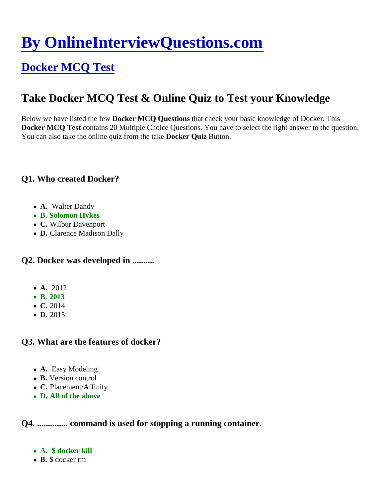# [By OnlineInterviewQuestions.com](https://www.onlineinterviewquestions.com/)

## [Docker MCQ Test](https://www.onlineinterviewquestions.com/docker-mcq/)

### Take Docker MCQ Test & Online Quiz to Test your Knowledge

Below we have listed the fellocker MCQ Questions that check your basic knowledge of Docker. This Docker MCQ Test contains 20 Multiple Choice Questions. You have to select the right answer to the question. You can also take the online quiz from the take ker Quiz Button.

Q1. Who created Docker?

- A. Walter Dandy
- B. Solomon Hykes
- C. Wilbur Davenport
- D. Clarence Madison Dally

Q2. Docker was developed in .........

- A. 2012
- B. 2013
- C. 2014
- D. 2015

Q3. What are the features of docker?

- A. Easy Modeling
- B. Version control
- C. Placement/Affinity
- D. All of the above

Q4. .............. command is used for stopping a running container.

- A. \$ docker kill
- B. \$ docker rm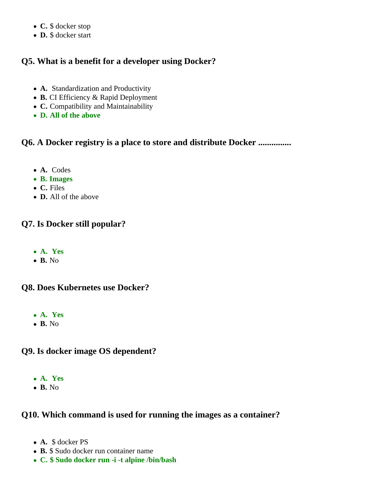- **C.** \$ docker stop
- **D.** \$ docker start

#### **Q5. What is a benefit for a developer using Docker?**

- **A.** Standardization and Productivity
- **B.** CI Efficiency & Rapid Deployment
- **C.** Compatibility and Maintainability
- **D. All of the above**

#### **Q6. A Docker registry is a place to store and distribute Docker ...............**

- **A.** Codes
- **B. Images**
- **C.** Files
- **D.** All of the above

#### **Q7. Is Docker still popular?**

- **A. Yes**
- **B.** No

#### **Q8. Does Kubernetes use Docker?**

- **A. Yes**
- **B.** No

#### **Q9. Is docker image OS dependent?**

- **A. Yes**
- **B.** No

#### **Q10. Which command is used for running the images as a container?**

- **A.** \$ docker PS
- **B.** \$ Sudo docker run container name
- **C. \$ Sudo docker run -i -t alpine /bin/bash**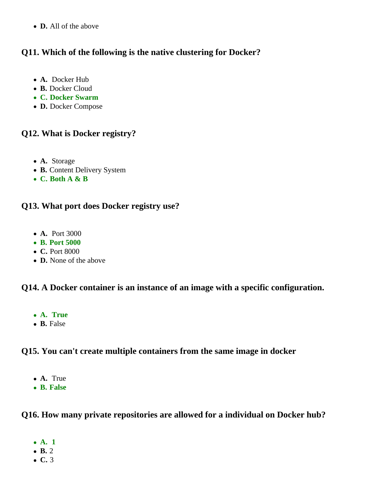**D.** All of the above

#### **Q11. Which of the following is the native clustering for Docker?**

- **A.** Docker Hub
- **B.** Docker Cloud
- **C. Docker Swarm**
- **D.** Docker Compose

#### **Q12. What is Docker registry?**

- **A.** Storage
- **B.** Content Delivery System
- **C. Both A & B**

#### **Q13. What port does Docker registry use?**

- **A.** Port 3000
- **B. Port 5000**
- **C.** Port 8000
- **D.** None of the above

#### **Q14. A Docker container is an instance of an image with a specific configuration.**

- **A. True**
- **B.** False

#### **Q15. You can't create multiple containers from the same image in docker**

- **A.** True
- **B. False**

#### **Q16. How many private repositories are allowed for a individual on Docker hub?**

- **A. 1**
- **B.** 2
- **C.** 3